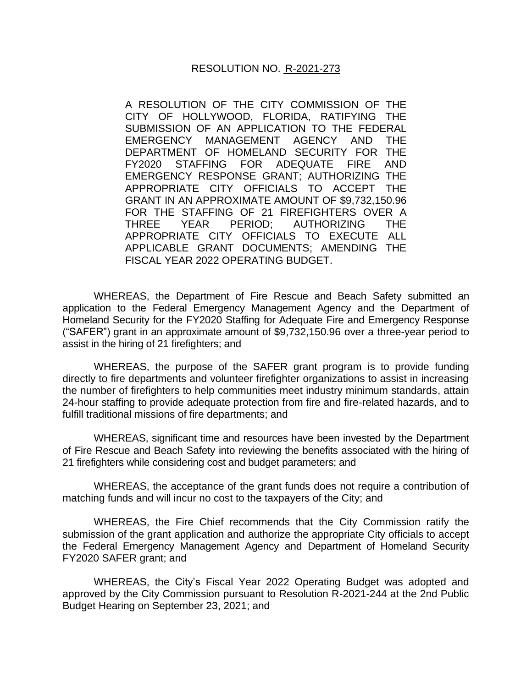## RESOLUTION NO. R-2021-273

A RESOLUTION OF THE CITY COMMISSION OF THE CITY OF HOLLYWOOD, FLORIDA, RATIFYING THE SUBMISSION OF AN APPLICATION TO THE FEDERAL EMERGENCY MANAGEMENT AGENCY AND THE DEPARTMENT OF HOMELAND SECURITY FOR THE FY2020 STAFFING FOR ADEQUATE FIRE AND EMERGENCY RESPONSE GRANT; AUTHORIZING THE APPROPRIATE CITY OFFICIALS TO ACCEPT THE GRANT IN AN APPROXIMATE AMOUNT OF \$9,732,150.96 FOR THE STAFFING OF 21 FIREFIGHTERS OVER A THREE YEAR PERIOD; AUTHORIZING THE APPROPRIATE CITY OFFICIALS TO EXECUTE ALL APPLICABLE GRANT DOCUMENTS; AMENDING THE FISCAL YEAR 2022 OPERATING BUDGET.

WHEREAS, the Department of Fire Rescue and Beach Safety submitted an application to the Federal Emergency Management Agency and the Department of Homeland Security for the FY2020 Staffing for Adequate Fire and Emergency Response ("SAFER") grant in an approximate amount of \$9,732,150.96 over a three-year period to assist in the hiring of 21 firefighters; and

WHEREAS, the purpose of the SAFER grant program is to provide funding directly to fire departments and volunteer firefighter organizations to assist in increasing the number of firefighters to help communities meet industry minimum standards, attain 24-hour staffing to provide adequate protection from fire and fire-related hazards, and to fulfill traditional missions of fire departments; and

WHEREAS, significant time and resources have been invested by the Department of Fire Rescue and Beach Safety into reviewing the benefits associated with the hiring of 21 firefighters while considering cost and budget parameters; and

WHEREAS, the acceptance of the grant funds does not require a contribution of matching funds and will incur no cost to the taxpayers of the City; and

WHEREAS, the Fire Chief recommends that the City Commission ratify the submission of the grant application and authorize the appropriate City officials to accept the Federal Emergency Management Agency and Department of Homeland Security FY2020 SAFER grant; and

WHEREAS, the City's Fiscal Year 2022 Operating Budget was adopted and approved by the City Commission pursuant to Resolution R-2021-244 at the 2nd Public Budget Hearing on September 23, 2021; and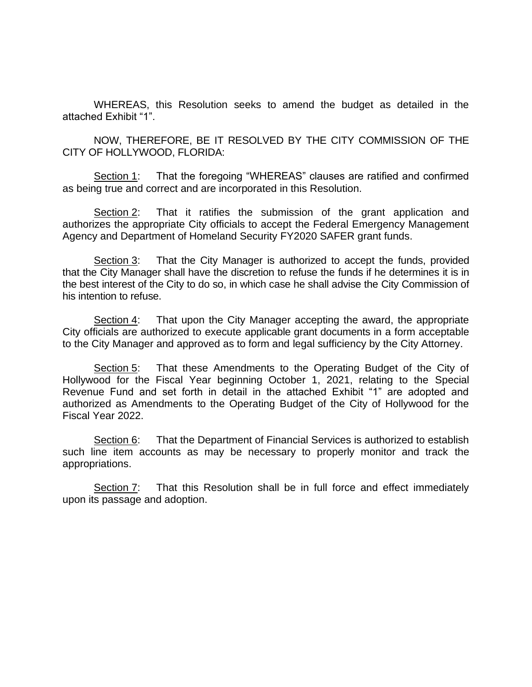WHEREAS, this Resolution seeks to amend the budget as detailed in the attached Exhibit "1".

NOW, THEREFORE, BE IT RESOLVED BY THE CITY COMMISSION OF THE CITY OF HOLLYWOOD, FLORIDA:

Section 1: That the foregoing "WHEREAS" clauses are ratified and confirmed as being true and correct and are incorporated in this Resolution.

Section 2: That it ratifies the submission of the grant application and authorizes the appropriate City officials to accept the Federal Emergency Management Agency and Department of Homeland Security FY2020 SAFER grant funds.

Section 3: That the City Manager is authorized to accept the funds, provided that the City Manager shall have the discretion to refuse the funds if he determines it is in the best interest of the City to do so, in which case he shall advise the City Commission of his intention to refuse.

Section 4: That upon the City Manager accepting the award, the appropriate City officials are authorized to execute applicable grant documents in a form acceptable to the City Manager and approved as to form and legal sufficiency by the City Attorney.

Section 5: That these Amendments to the Operating Budget of the City of Hollywood for the Fiscal Year beginning October 1, 2021, relating to the Special Revenue Fund and set forth in detail in the attached Exhibit "1" are adopted and authorized as Amendments to the Operating Budget of the City of Hollywood for the Fiscal Year 2022.

Section 6: That the Department of Financial Services is authorized to establish such line item accounts as may be necessary to properly monitor and track the appropriations.

Section 7: That this Resolution shall be in full force and effect immediately upon its passage and adoption.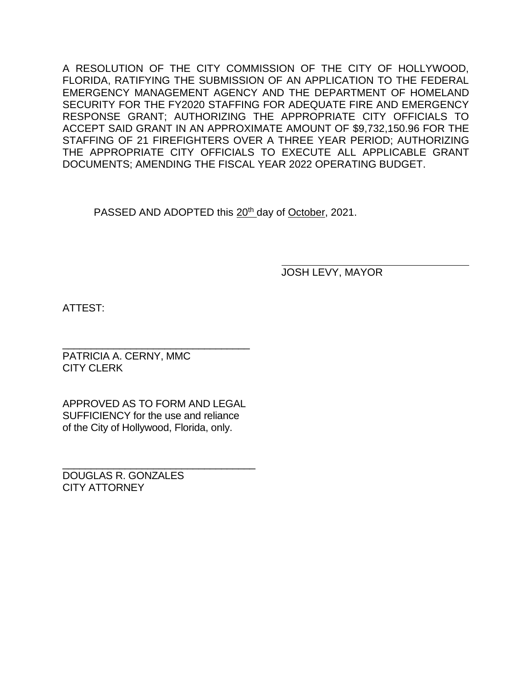A RESOLUTION OF THE CITY COMMISSION OF THE CITY OF HOLLYWOOD, FLORIDA, RATIFYING THE SUBMISSION OF AN APPLICATION TO THE FEDERAL EMERGENCY MANAGEMENT AGENCY AND THE DEPARTMENT OF HOMELAND SECURITY FOR THE FY2020 STAFFING FOR ADEQUATE FIRE AND EMERGENCY RESPONSE GRANT; AUTHORIZING THE APPROPRIATE CITY OFFICIALS TO ACCEPT SAID GRANT IN AN APPROXIMATE AMOUNT OF \$9,732,150.96 FOR THE STAFFING OF 21 FIREFIGHTERS OVER A THREE YEAR PERIOD; AUTHORIZING THE APPROPRIATE CITY OFFICIALS TO EXECUTE ALL APPLICABLE GRANT DOCUMENTS; AMENDING THE FISCAL YEAR 2022 OPERATING BUDGET.

PASSED AND ADOPTED this 20<sup>th</sup> day of October, 2021.

JOSH LEVY, MAYOR

ATTEST:

\_\_\_\_\_\_\_\_\_\_\_\_\_\_\_\_\_\_\_\_\_\_\_\_\_\_\_\_\_\_\_\_\_ PATRICIA A. CERNY, MMC CITY CLERK

APPROVED AS TO FORM AND LEGAL SUFFICIENCY for the use and reliance of the City of Hollywood, Florida, only.

\_\_\_\_\_\_\_\_\_\_\_\_\_\_\_\_\_\_\_\_\_\_\_\_\_\_\_\_\_\_\_\_\_\_ DOUGLAS R. GONZALES CITY ATTORNEY